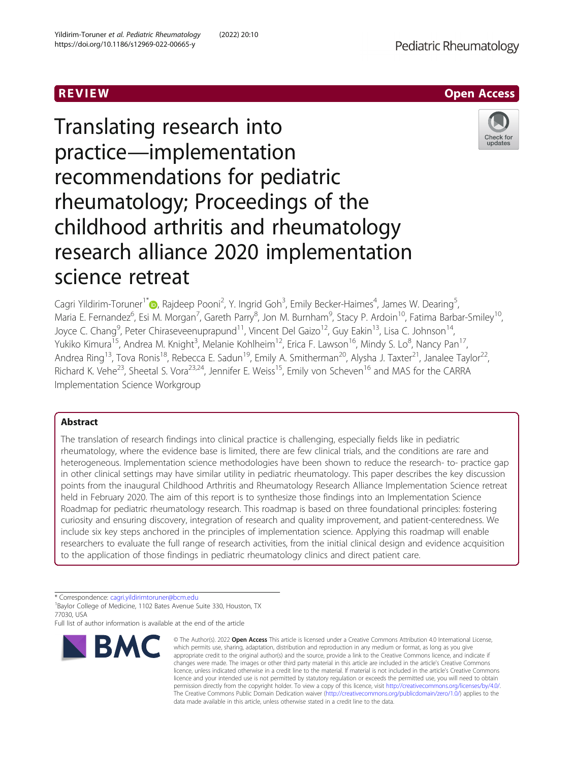R EVI EW Open Access

# Translating research into practice—implementation recommendations for pediatric rheumatology; Proceedings of the childhood arthritis and rheumatology research alliance 2020 implementation science retreat



Cagri Yildirim-Toruner<sup>1\*</sup> (@[,](http://orcid.org/0000-0001-6257-7903) Rajdeep Pooni<sup>2</sup>, Y. Ingrid Goh<sup>3</sup>, Emily Becker-Haimes<sup>4</sup>, James W. Dearing<sup>5</sup> , Maria E. Fernandez<sup>6</sup>, Esi M. Morgan<sup>7</sup>, Gareth Parry<sup>8</sup>, Jon M. Burnham<sup>9</sup>, Stacy P. Ardoin<sup>10</sup>, Fatima Barbar-Smiley<sup>10</sup>, Joyce C. Chang<sup>9</sup>, Peter Chiraseveenuprapund<sup>11</sup>, Vincent Del Gaizo<sup>12</sup>, Guy Eakin<sup>13</sup>, Lisa C. Johnson<sup>14</sup>, Yukiko Kimura<sup>15</sup>, Andrea M. Knight<sup>3</sup>, Melanie Kohlheim<sup>12</sup>, Erica F. Lawson<sup>16</sup>, Mindy S. Lo<sup>8</sup>, Nancy Pan<sup>17</sup>, Andrea Ring<sup>13</sup>, Tova Ronis<sup>18</sup>, Rebecca E. Sadun<sup>19</sup>, Emily A. Smitherman<sup>20</sup>, Alysha J. Taxter<sup>21</sup>, Janalee Taylor<sup>22</sup>, Richard K. Vehe<sup>23</sup>, Sheetal S. Vora<sup>23,24</sup>, Jennifer E. Weiss<sup>15</sup>, Emily von Scheven<sup>16</sup> and MAS for the CARRA Implementation Science Workgroup

# Abstract

The translation of research findings into clinical practice is challenging, especially fields like in pediatric rheumatology, where the evidence base is limited, there are few clinical trials, and the conditions are rare and heterogeneous. Implementation science methodologies have been shown to reduce the research- to- practice gap in other clinical settings may have similar utility in pediatric rheumatology. This paper describes the key discussion points from the inaugural Childhood Arthritis and Rheumatology Research Alliance Implementation Science retreat held in February 2020. The aim of this report is to synthesize those findings into an Implementation Science Roadmap for pediatric rheumatology research. This roadmap is based on three foundational principles: fostering curiosity and ensuring discovery, integration of research and quality improvement, and patient-centeredness. We include six key steps anchored in the principles of implementation science. Applying this roadmap will enable researchers to evaluate the full range of research activities, from the initial clinical design and evidence acquisition to the application of those findings in pediatric rheumatology clinics and direct patient care.

\* Correspondence: [cagri.yildirimtoruner@bcm.edu](mailto:cagri.yildirimtoruner@bcm.edu) <sup>1</sup>

<sup>1</sup>Baylor College of Medicine, 1102 Bates Avenue Suite 330, Houston, TX 77030, USA

Full list of author information is available at the end of the article



<sup>©</sup> The Author(s), 2022 **Open Access** This article is licensed under a Creative Commons Attribution 4.0 International License, which permits use, sharing, adaptation, distribution and reproduction in any medium or format, as long as you give appropriate credit to the original author(s) and the source, provide a link to the Creative Commons licence, and indicate if changes were made. The images or other third party material in this article are included in the article's Creative Commons licence, unless indicated otherwise in a credit line to the material. If material is not included in the article's Creative Commons licence and your intended use is not permitted by statutory regulation or exceeds the permitted use, you will need to obtain permission directly from the copyright holder. To view a copy of this licence, visit [http://creativecommons.org/licenses/by/4.0/.](http://creativecommons.org/licenses/by/4.0/) The Creative Commons Public Domain Dedication waiver [\(http://creativecommons.org/publicdomain/zero/1.0/](http://creativecommons.org/publicdomain/zero/1.0/)) applies to the data made available in this article, unless otherwise stated in a credit line to the data.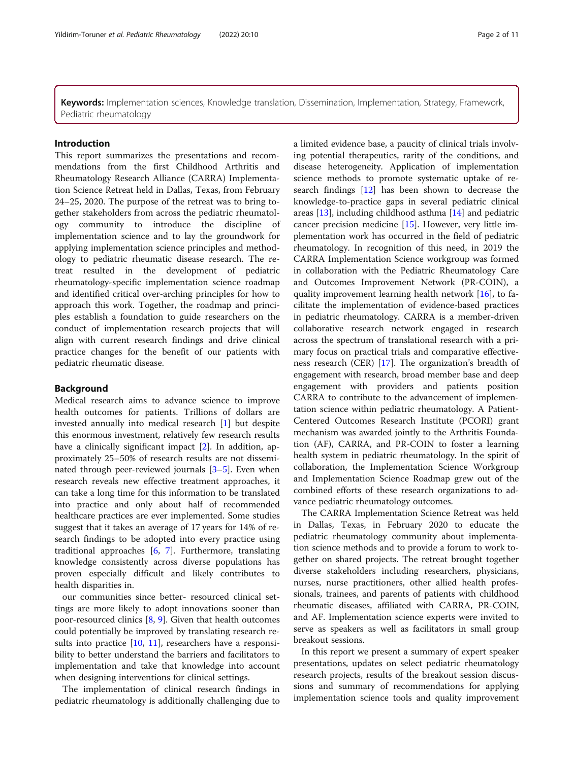Keywords: Implementation sciences, Knowledge translation, Dissemination, Implementation, Strategy, Framework, Pediatric rheumatology

#### Introduction

This report summarizes the presentations and recommendations from the first Childhood Arthritis and Rheumatology Research Alliance (CARRA) Implementation Science Retreat held in Dallas, Texas, from February 24–25, 2020. The purpose of the retreat was to bring together stakeholders from across the pediatric rheumatology community to introduce the discipline of implementation science and to lay the groundwork for applying implementation science principles and methodology to pediatric rheumatic disease research. The retreat resulted in the development of pediatric rheumatology-specific implementation science roadmap and identified critical over-arching principles for how to approach this work. Together, the roadmap and principles establish a foundation to guide researchers on the conduct of implementation research projects that will align with current research findings and drive clinical practice changes for the benefit of our patients with pediatric rheumatic disease.

# Background

Medical research aims to advance science to improve health outcomes for patients. Trillions of dollars are invested annually into medical research [\[1](#page-8-0)] but despite this enormous investment, relatively few research results have a clinically significant impact [[2\]](#page-8-0). In addition, approximately 25–50% of research results are not disseminated through peer-reviewed journals [\[3](#page-8-0)–[5\]](#page-8-0). Even when research reveals new effective treatment approaches, it can take a long time for this information to be translated into practice and only about half of recommended healthcare practices are ever implemented. Some studies suggest that it takes an average of 17 years for 14% of research findings to be adopted into every practice using traditional approaches [\[6](#page-8-0), [7\]](#page-9-0). Furthermore, translating knowledge consistently across diverse populations has proven especially difficult and likely contributes to health disparities in.

our communities since better- resourced clinical settings are more likely to adopt innovations sooner than poor-resourced clinics [[8,](#page-9-0) [9\]](#page-9-0). Given that health outcomes could potentially be improved by translating research re-sults into practice [\[10](#page-9-0), [11\]](#page-9-0), researchers have a responsibility to better understand the barriers and facilitators to implementation and take that knowledge into account when designing interventions for clinical settings.

The implementation of clinical research findings in pediatric rheumatology is additionally challenging due to a limited evidence base, a paucity of clinical trials involving potential therapeutics, rarity of the conditions, and disease heterogeneity. Application of implementation science methods to promote systematic uptake of research findings [\[12](#page-9-0)] has been shown to decrease the knowledge-to-practice gaps in several pediatric clinical areas [\[13](#page-9-0)], including childhood asthma [\[14](#page-9-0)] and pediatric cancer precision medicine [\[15\]](#page-9-0). However, very little implementation work has occurred in the field of pediatric rheumatology. In recognition of this need, in 2019 the CARRA Implementation Science workgroup was formed in collaboration with the Pediatric Rheumatology Care and Outcomes Improvement Network (PR-COIN), a quality improvement learning health network [[16\]](#page-9-0), to facilitate the implementation of evidence-based practices in pediatric rheumatology. CARRA is a member-driven collaborative research network engaged in research across the spectrum of translational research with a primary focus on practical trials and comparative effectiveness research (CER) [[17](#page-9-0)]. The organization's breadth of engagement with research, broad member base and deep engagement with providers and patients position CARRA to contribute to the advancement of implementation science within pediatric rheumatology. A Patient-Centered Outcomes Research Institute (PCORI) grant mechanism was awarded jointly to the Arthritis Foundation (AF), CARRA, and PR-COIN to foster a learning health system in pediatric rheumatology. In the spirit of collaboration, the Implementation Science Workgroup and Implementation Science Roadmap grew out of the combined efforts of these research organizations to advance pediatric rheumatology outcomes.

The CARRA Implementation Science Retreat was held in Dallas, Texas, in February 2020 to educate the pediatric rheumatology community about implementation science methods and to provide a forum to work together on shared projects. The retreat brought together diverse stakeholders including researchers, physicians, nurses, nurse practitioners, other allied health professionals, trainees, and parents of patients with childhood rheumatic diseases, affiliated with CARRA, PR-COIN, and AF. Implementation science experts were invited to serve as speakers as well as facilitators in small group breakout sessions.

In this report we present a summary of expert speaker presentations, updates on select pediatric rheumatology research projects, results of the breakout session discussions and summary of recommendations for applying implementation science tools and quality improvement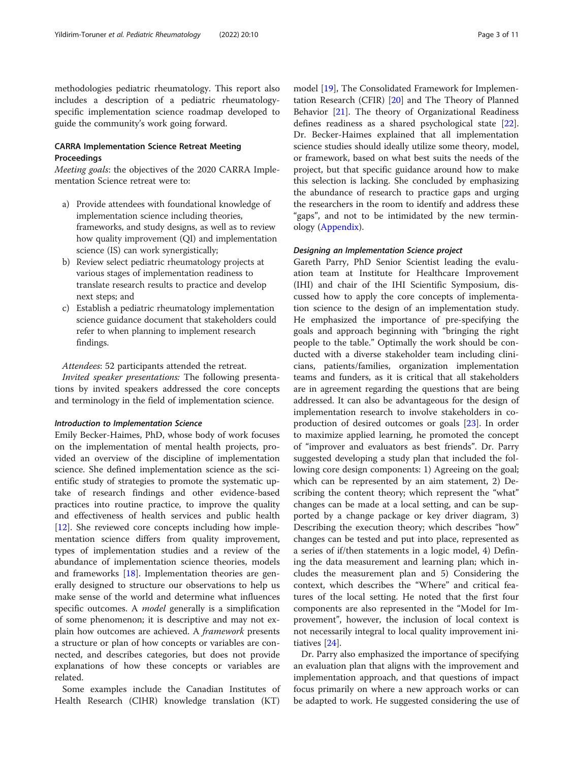methodologies pediatric rheumatology. This report also includes a description of a pediatric rheumatologyspecific implementation science roadmap developed to guide the community's work going forward.

# CARRA Implementation Science Retreat Meeting Proceedings

Meeting goals: the objectives of the 2020 CARRA Implementation Science retreat were to:

- a) Provide attendees with foundational knowledge of implementation science including theories, frameworks, and study designs, as well as to review how quality improvement (QI) and implementation science (IS) can work synergistically;
- b) Review select pediatric rheumatology projects at various stages of implementation readiness to translate research results to practice and develop next steps; and
- c) Establish a pediatric rheumatology implementation science guidance document that stakeholders could refer to when planning to implement research findings.

# Attendees: 52 participants attended the retreat.

Invited speaker presentations: The following presentations by invited speakers addressed the core concepts and terminology in the field of implementation science.

#### Introduction to Implementation Science

Emily Becker-Haimes, PhD, whose body of work focuses on the implementation of mental health projects, provided an overview of the discipline of implementation science. She defined implementation science as the scientific study of strategies to promote the systematic uptake of research findings and other evidence-based practices into routine practice, to improve the quality and effectiveness of health services and public health [[12\]](#page-9-0). She reviewed core concepts including how implementation science differs from quality improvement, types of implementation studies and a review of the abundance of implementation science theories, models and frameworks [[18\]](#page-9-0). Implementation theories are generally designed to structure our observations to help us make sense of the world and determine what influences specific outcomes. A *model* generally is a simplification of some phenomenon; it is descriptive and may not explain how outcomes are achieved. A *framework* presents a structure or plan of how concepts or variables are connected, and describes categories, but does not provide explanations of how these concepts or variables are related.

Some examples include the Canadian Institutes of Health Research (CIHR) knowledge translation (KT)

model [\[19\]](#page-9-0), The Consolidated Framework for Implementation Research (CFIR) [\[20](#page-9-0)] and The Theory of Planned Behavior [[21](#page-9-0)]. The theory of Organizational Readiness defines readiness as a shared psychological state [\[22](#page-9-0)]. Dr. Becker-Haimes explained that all implementation science studies should ideally utilize some theory, model, or framework, based on what best suits the needs of the project, but that specific guidance around how to make this selection is lacking. She concluded by emphasizing the abundance of research to practice gaps and urging the researchers in the room to identify and address these "gaps", and not to be intimidated by the new terminology ([Appendix](#page-8-0)).

## Designing an Implementation Science project

Gareth Parry, PhD Senior Scientist leading the evaluation team at Institute for Healthcare Improvement (IHI) and chair of the IHI Scientific Symposium, discussed how to apply the core concepts of implementation science to the design of an implementation study. He emphasized the importance of pre-specifying the goals and approach beginning with "bringing the right people to the table." Optimally the work should be conducted with a diverse stakeholder team including clinicians, patients/families, organization implementation teams and funders, as it is critical that all stakeholders are in agreement regarding the questions that are being addressed. It can also be advantageous for the design of implementation research to involve stakeholders in coproduction of desired outcomes or goals [\[23](#page-9-0)]. In order to maximize applied learning, he promoted the concept of "improver and evaluators as best friends". Dr. Parry suggested developing a study plan that included the following core design components: 1) Agreeing on the goal; which can be represented by an aim statement, 2) Describing the content theory; which represent the "what" changes can be made at a local setting, and can be supported by a change package or key driver diagram, 3) Describing the execution theory; which describes "how" changes can be tested and put into place, represented as a series of if/then statements in a logic model, 4) Defining the data measurement and learning plan; which includes the measurement plan and 5) Considering the context, which describes the "Where" and critical features of the local setting. He noted that the first four components are also represented in the "Model for Improvement", however, the inclusion of local context is not necessarily integral to local quality improvement initiatives [\[24](#page-9-0)].

Dr. Parry also emphasized the importance of specifying an evaluation plan that aligns with the improvement and implementation approach, and that questions of impact focus primarily on where a new approach works or can be adapted to work. He suggested considering the use of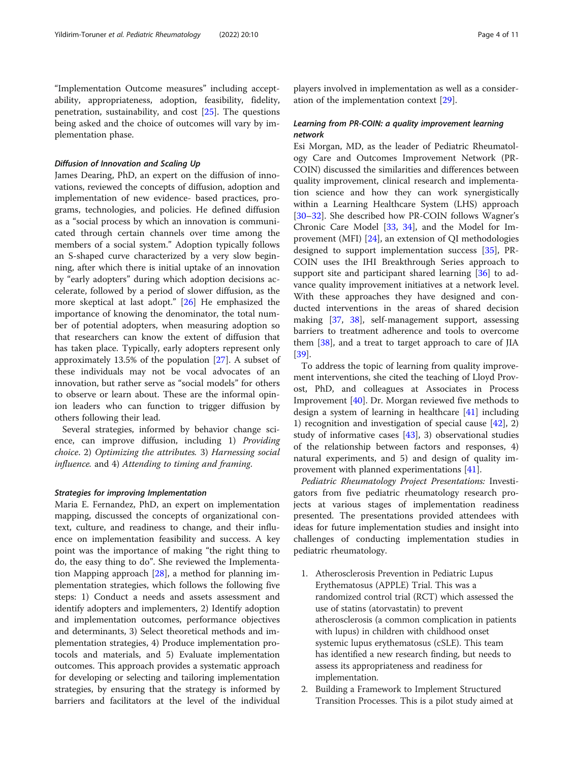"Implementation Outcome measures" including acceptability, appropriateness, adoption, feasibility, fidelity, penetration, sustainability, and cost [\[25](#page-9-0)]. The questions being asked and the choice of outcomes will vary by implementation phase.

#### Diffusion of Innovation and Scaling Up

James Dearing, PhD, an expert on the diffusion of innovations, reviewed the concepts of diffusion, adoption and implementation of new evidence- based practices, programs, technologies, and policies. He defined diffusion as a "social process by which an innovation is communicated through certain channels over time among the members of a social system." Adoption typically follows an S-shaped curve characterized by a very slow beginning, after which there is initial uptake of an innovation by "early adopters" during which adoption decisions accelerate, followed by a period of slower diffusion, as the more skeptical at last adopt." [[26\]](#page-9-0) He emphasized the importance of knowing the denominator, the total number of potential adopters, when measuring adoption so that researchers can know the extent of diffusion that has taken place. Typically, early adopters represent only approximately 13.5% of the population [\[27](#page-9-0)]. A subset of these individuals may not be vocal advocates of an innovation, but rather serve as "social models" for others to observe or learn about. These are the informal opinion leaders who can function to trigger diffusion by others following their lead.

Several strategies, informed by behavior change science, can improve diffusion, including 1) Providing choice. 2) Optimizing the attributes. 3) Harnessing social influence. and 4) Attending to timing and framing.

# Strategies for improving Implementation

Maria E. Fernandez, PhD, an expert on implementation mapping, discussed the concepts of organizational context, culture, and readiness to change, and their influence on implementation feasibility and success. A key point was the importance of making "the right thing to do, the easy thing to do". She reviewed the Implementation Mapping approach [[28\]](#page-9-0), a method for planning implementation strategies, which follows the following five steps: 1) Conduct a needs and assets assessment and identify adopters and implementers, 2) Identify adoption and implementation outcomes, performance objectives and determinants, 3) Select theoretical methods and implementation strategies, 4) Produce implementation protocols and materials, and 5) Evaluate implementation outcomes. This approach provides a systematic approach for developing or selecting and tailoring implementation strategies, by ensuring that the strategy is informed by barriers and facilitators at the level of the individual

players involved in implementation as well as a consideration of the implementation context [\[29](#page-9-0)].

# Learning from PR-COIN: a quality improvement learning network

Esi Morgan, MD, as the leader of Pediatric Rheumatology Care and Outcomes Improvement Network (PR-COIN) discussed the similarities and differences between quality improvement, clinical research and implementation science and how they can work synergistically within a Learning Healthcare System (LHS) approach [[30](#page-9-0)–[32](#page-9-0)]. She described how PR-COIN follows Wagner's Chronic Care Model [\[33](#page-9-0), [34\]](#page-9-0), and the Model for Improvement (MFI) [[24](#page-9-0)], an extension of QI methodologies designed to support implementation success [\[35](#page-9-0)], PR-COIN uses the IHI Breakthrough Series approach to support site and participant shared learning [\[36\]](#page-9-0) to advance quality improvement initiatives at a network level. With these approaches they have designed and conducted interventions in the areas of shared decision making [[37,](#page-9-0) [38](#page-9-0)], self-management support, assessing barriers to treatment adherence and tools to overcome them [[38](#page-9-0)], and a treat to target approach to care of JIA [[39\]](#page-9-0).

To address the topic of learning from quality improvement interventions, she cited the teaching of Lloyd Provost, PhD, and colleagues at Associates in Process Improvement [\[40](#page-9-0)]. Dr. Morgan reviewed five methods to design a system of learning in healthcare [[41](#page-9-0)] including 1) recognition and investigation of special cause  $[42]$  $[42]$ , 2) study of informative cases  $[43]$ , 3) observational studies of the relationship between factors and responses, 4) natural experiments, and 5) and design of quality improvement with planned experimentations [[41\]](#page-9-0).

Pediatric Rheumatology Project Presentations: Investigators from five pediatric rheumatology research projects at various stages of implementation readiness presented. The presentations provided attendees with ideas for future implementation studies and insight into challenges of conducting implementation studies in pediatric rheumatology.

- 1. Atherosclerosis Prevention in Pediatric Lupus Erythematosus (APPLE) Trial. This was a randomized control trial (RCT) which assessed the use of statins (atorvastatin) to prevent atherosclerosis (a common complication in patients with lupus) in children with childhood onset systemic lupus erythematosus (cSLE). This team has identified a new research finding, but needs to assess its appropriateness and readiness for implementation.
- 2. Building a Framework to Implement Structured Transition Processes. This is a pilot study aimed at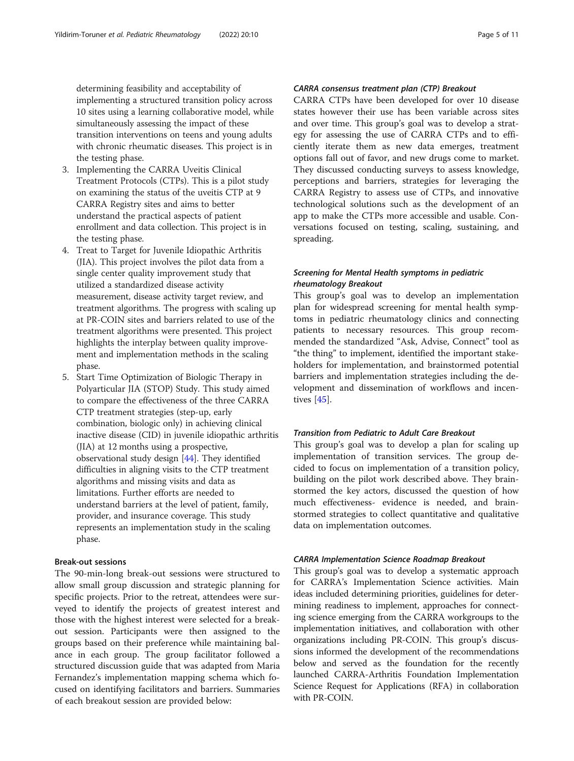determining feasibility and acceptability of implementing a structured transition policy across 10 sites using a learning collaborative model, while simultaneously assessing the impact of these transition interventions on teens and young adults with chronic rheumatic diseases. This project is in the testing phase.

- 3. Implementing the CARRA Uveitis Clinical Treatment Protocols (CTPs). This is a pilot study on examining the status of the uveitis CTP at 9 CARRA Registry sites and aims to better understand the practical aspects of patient enrollment and data collection. This project is in the testing phase.
- 4. Treat to Target for Juvenile Idiopathic Arthritis (JIA). This project involves the pilot data from a single center quality improvement study that utilized a standardized disease activity measurement, disease activity target review, and treatment algorithms. The progress with scaling up at PR-COIN sites and barriers related to use of the treatment algorithms were presented. This project highlights the interplay between quality improvement and implementation methods in the scaling phase.
- 5. Start Time Optimization of Biologic Therapy in Polyarticular JIA (STOP) Study. This study aimed to compare the effectiveness of the three CARRA CTP treatment strategies (step-up, early combination, biologic only) in achieving clinical inactive disease (CID) in juvenile idiopathic arthritis (JIA) at 12 months using a prospective, observational study design [[44](#page-9-0)]. They identified difficulties in aligning visits to the CTP treatment algorithms and missing visits and data as limitations. Further efforts are needed to understand barriers at the level of patient, family, provider, and insurance coverage. This study represents an implementation study in the scaling phase.

# Break-out sessions

The 90-min-long break-out sessions were structured to allow small group discussion and strategic planning for specific projects. Prior to the retreat, attendees were surveyed to identify the projects of greatest interest and those with the highest interest were selected for a breakout session. Participants were then assigned to the groups based on their preference while maintaining balance in each group. The group facilitator followed a structured discussion guide that was adapted from Maria Fernandez's implementation mapping schema which focused on identifying facilitators and barriers. Summaries of each breakout session are provided below:

# CARRA consensus treatment plan (CTP) Breakout

CARRA CTPs have been developed for over 10 disease states however their use has been variable across sites and over time. This group's goal was to develop a strategy for assessing the use of CARRA CTPs and to efficiently iterate them as new data emerges, treatment options fall out of favor, and new drugs come to market. They discussed conducting surveys to assess knowledge, perceptions and barriers, strategies for leveraging the CARRA Registry to assess use of CTPs, and innovative technological solutions such as the development of an app to make the CTPs more accessible and usable. Conversations focused on testing, scaling, sustaining, and spreading.

# Screening for Mental Health symptoms in pediatric rheumatology Breakout

This group's goal was to develop an implementation plan for widespread screening for mental health symptoms in pediatric rheumatology clinics and connecting patients to necessary resources. This group recommended the standardized "Ask, Advise, Connect" tool as "the thing" to implement, identified the important stakeholders for implementation, and brainstormed potential barriers and implementation strategies including the development and dissemination of workflows and incentives [\[45](#page-10-0)].

# Transition from Pediatric to Adult Care Breakout

This group's goal was to develop a plan for scaling up implementation of transition services. The group decided to focus on implementation of a transition policy, building on the pilot work described above. They brainstormed the key actors, discussed the question of how much effectiveness- evidence is needed, and brainstormed strategies to collect quantitative and qualitative data on implementation outcomes.

#### CARRA Implementation Science Roadmap Breakout

This group's goal was to develop a systematic approach for CARRA's Implementation Science activities. Main ideas included determining priorities, guidelines for determining readiness to implement, approaches for connecting science emerging from the CARRA workgroups to the implementation initiatives, and collaboration with other organizations including PR-COIN. This group's discussions informed the development of the recommendations below and served as the foundation for the recently launched CARRA-Arthritis Foundation Implementation Science Request for Applications (RFA) in collaboration with PR-COIN.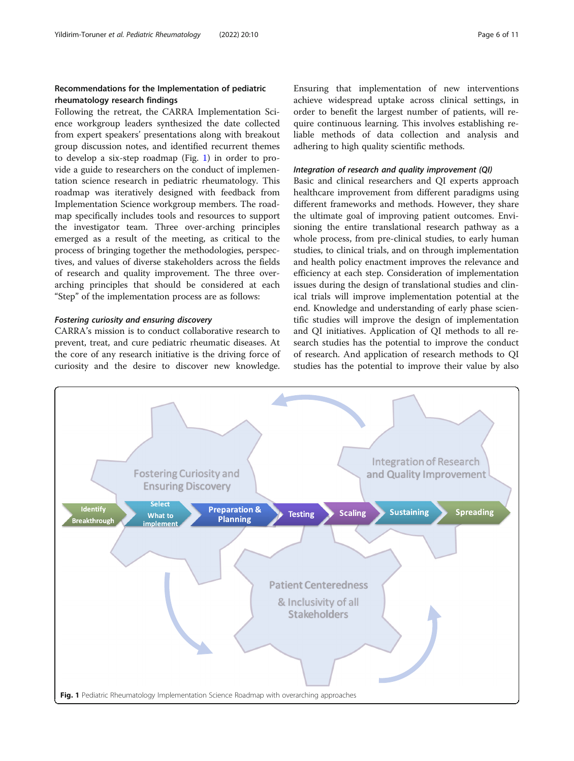# Recommendations for the Implementation of pediatric rheumatology research findings

Following the retreat, the CARRA Implementation Science workgroup leaders synthesized the date collected from expert speakers' presentations along with breakout group discussion notes, and identified recurrent themes to develop a six-step roadmap (Fig. 1) in order to provide a guide to researchers on the conduct of implementation science research in pediatric rheumatology. This roadmap was iteratively designed with feedback from Implementation Science workgroup members. The roadmap specifically includes tools and resources to support the investigator team. Three over-arching principles emerged as a result of the meeting, as critical to the process of bringing together the methodologies, perspectives, and values of diverse stakeholders across the fields of research and quality improvement. The three overarching principles that should be considered at each "Step" of the implementation process are as follows:

# Fostering curiosity and ensuring discovery

CARRA's mission is to conduct collaborative research to prevent, treat, and cure pediatric rheumatic diseases. At the core of any research initiative is the driving force of curiosity and the desire to discover new knowledge.

Ensuring that implementation of new interventions achieve widespread uptake across clinical settings, in order to benefit the largest number of patients, will require continuous learning. This involves establishing reliable methods of data collection and analysis and adhering to high quality scientific methods.

#### Integration of research and quality improvement (QI)

Basic and clinical researchers and QI experts approach healthcare improvement from different paradigms using different frameworks and methods. However, they share the ultimate goal of improving patient outcomes. Envisioning the entire translational research pathway as a whole process, from pre-clinical studies, to early human studies, to clinical trials, and on through implementation and health policy enactment improves the relevance and efficiency at each step. Consideration of implementation issues during the design of translational studies and clinical trials will improve implementation potential at the end. Knowledge and understanding of early phase scientific studies will improve the design of implementation and QI initiatives. Application of QI methods to all research studies has the potential to improve the conduct of research. And application of research methods to QI studies has the potential to improve their value by also

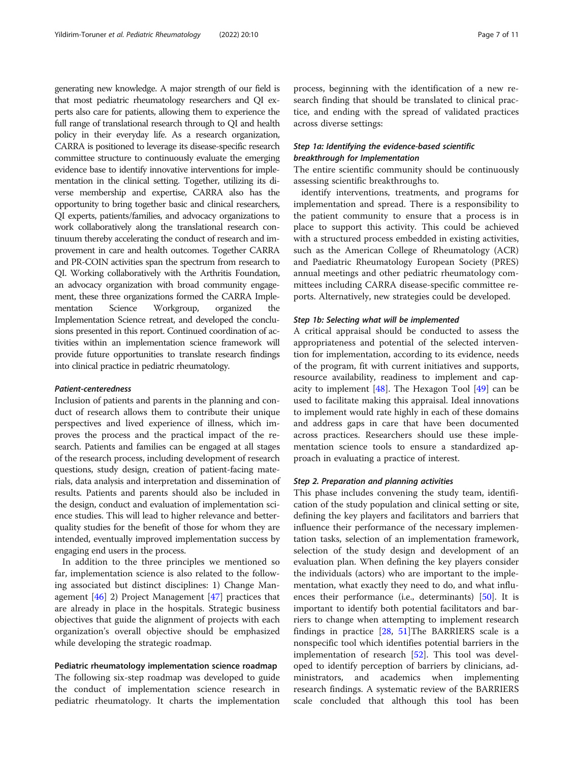generating new knowledge. A major strength of our field is that most pediatric rheumatology researchers and QI experts also care for patients, allowing them to experience the full range of translational research through to QI and health policy in their everyday life. As a research organization, CARRA is positioned to leverage its disease-specific research committee structure to continuously evaluate the emerging evidence base to identify innovative interventions for implementation in the clinical setting. Together, utilizing its diverse membership and expertise, CARRA also has the opportunity to bring together basic and clinical researchers, QI experts, patients/families, and advocacy organizations to work collaboratively along the translational research continuum thereby accelerating the conduct of research and improvement in care and health outcomes. Together CARRA and PR-COIN activities span the spectrum from research to QI. Working collaboratively with the Arthritis Foundation, an advocacy organization with broad community engagement, these three organizations formed the CARRA Implementation Science Workgroup, organized the Implementation Science retreat, and developed the conclusions presented in this report. Continued coordination of activities within an implementation science framework will provide future opportunities to translate research findings into clinical practice in pediatric rheumatology.

# Patient-centeredness

Inclusion of patients and parents in the planning and conduct of research allows them to contribute their unique perspectives and lived experience of illness, which improves the process and the practical impact of the research. Patients and families can be engaged at all stages of the research process, including development of research questions, study design, creation of patient-facing materials, data analysis and interpretation and dissemination of results. Patients and parents should also be included in the design, conduct and evaluation of implementation science studies. This will lead to higher relevance and betterquality studies for the benefit of those for whom they are intended, eventually improved implementation success by engaging end users in the process.

In addition to the three principles we mentioned so far, implementation science is also related to the following associated but distinct disciplines: 1) Change Management [\[46\]](#page-10-0) 2) Project Management [[47](#page-10-0)] practices that are already in place in the hospitals. Strategic business objectives that guide the alignment of projects with each organization's overall objective should be emphasized while developing the strategic roadmap.

### Pediatric rheumatology implementation science roadmap

The following six-step roadmap was developed to guide the conduct of implementation science research in pediatric rheumatology. It charts the implementation process, beginning with the identification of a new research finding that should be translated to clinical practice, and ending with the spread of validated practices across diverse settings:

# Step 1a: Identifying the evidence-based scientific breakthrough for Implementation

The entire scientific community should be continuously assessing scientific breakthroughs to.

identify interventions, treatments, and programs for implementation and spread. There is a responsibility to the patient community to ensure that a process is in place to support this activity. This could be achieved with a structured process embedded in existing activities, such as the American College of Rheumatology (ACR) and Paediatric Rheumatology European Society (PRES) annual meetings and other pediatric rheumatology committees including CARRA disease-specific committee reports. Alternatively, new strategies could be developed.

# Step 1b: Selecting what will be implemented

A critical appraisal should be conducted to assess the appropriateness and potential of the selected intervention for implementation, according to its evidence, needs of the program, fit with current initiatives and supports, resource availability, readiness to implement and capacity to implement [[48\]](#page-10-0). The Hexagon Tool [[49](#page-10-0)] can be used to facilitate making this appraisal. Ideal innovations to implement would rate highly in each of these domains and address gaps in care that have been documented across practices. Researchers should use these implementation science tools to ensure a standardized approach in evaluating a practice of interest.

#### Step 2. Preparation and planning activities

This phase includes convening the study team, identification of the study population and clinical setting or site, defining the key players and facilitators and barriers that influence their performance of the necessary implementation tasks, selection of an implementation framework, selection of the study design and development of an evaluation plan. When defining the key players consider the individuals (actors) who are important to the implementation, what exactly they need to do, and what influences their performance (i.e., determinants) [\[50](#page-10-0)]. It is important to identify both potential facilitators and barriers to change when attempting to implement research findings in practice [\[28](#page-9-0), [51](#page-10-0)]The BARRIERS scale is a nonspecific tool which identifies potential barriers in the implementation of research [[52](#page-10-0)]. This tool was developed to identify perception of barriers by clinicians, administrators, and academics when implementing research findings. A systematic review of the BARRIERS scale concluded that although this tool has been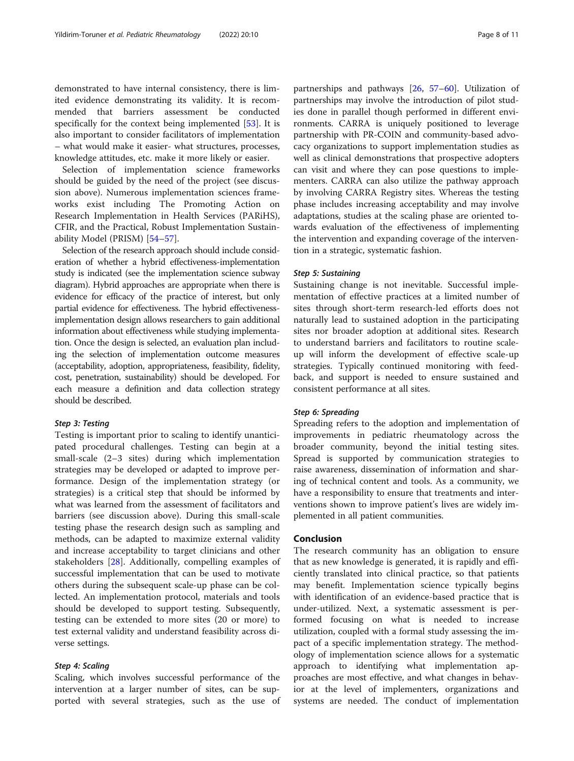demonstrated to have internal consistency, there is limited evidence demonstrating its validity. It is recommended that barriers assessment be conducted specifically for the context being implemented [[53](#page-10-0)]. It is also important to consider facilitators of implementation – what would make it easier- what structures, processes, knowledge attitudes, etc. make it more likely or easier.

Selection of implementation science frameworks should be guided by the need of the project (see discussion above). Numerous implementation sciences frameworks exist including The Promoting Action on Research Implementation in Health Services (PARiHS), CFIR, and the Practical, Robust Implementation Sustainability Model (PRISM) [\[54](#page-10-0)–[57\]](#page-10-0).

Selection of the research approach should include consideration of whether a hybrid effectiveness-implementation study is indicated (see the implementation science subway diagram). Hybrid approaches are appropriate when there is evidence for efficacy of the practice of interest, but only partial evidence for effectiveness. The hybrid effectivenessimplementation design allows researchers to gain additional information about effectiveness while studying implementation. Once the design is selected, an evaluation plan including the selection of implementation outcome measures (acceptability, adoption, appropriateness, feasibility, fidelity, cost, penetration, sustainability) should be developed. For each measure a definition and data collection strategy should be described.

#### Step 3: Testing

Testing is important prior to scaling to identify unanticipated procedural challenges. Testing can begin at a small-scale (2–3 sites) during which implementation strategies may be developed or adapted to improve performance. Design of the implementation strategy (or strategies) is a critical step that should be informed by what was learned from the assessment of facilitators and barriers (see discussion above). During this small-scale testing phase the research design such as sampling and methods, can be adapted to maximize external validity and increase acceptability to target clinicians and other stakeholders [[28\]](#page-9-0). Additionally, compelling examples of successful implementation that can be used to motivate others during the subsequent scale-up phase can be collected. An implementation protocol, materials and tools should be developed to support testing. Subsequently, testing can be extended to more sites (20 or more) to test external validity and understand feasibility across diverse settings.

### Step 4: Scaling

Scaling, which involves successful performance of the intervention at a larger number of sites, can be supported with several strategies, such as the use of

partnerships and pathways [[26,](#page-9-0) [57](#page-10-0)–[60](#page-10-0)]. Utilization of partnerships may involve the introduction of pilot studies done in parallel though performed in different environments. CARRA is uniquely positioned to leverage partnership with PR-COIN and community-based advocacy organizations to support implementation studies as well as clinical demonstrations that prospective adopters can visit and where they can pose questions to implementers. CARRA can also utilize the pathway approach by involving CARRA Registry sites. Whereas the testing phase includes increasing acceptability and may involve adaptations, studies at the scaling phase are oriented towards evaluation of the effectiveness of implementing the intervention and expanding coverage of the intervention in a strategic, systematic fashion.

#### Step 5: Sustaining

Sustaining change is not inevitable. Successful implementation of effective practices at a limited number of sites through short-term research-led efforts does not naturally lead to sustained adoption in the participating sites nor broader adoption at additional sites. Research to understand barriers and facilitators to routine scaleup will inform the development of effective scale-up strategies. Typically continued monitoring with feedback, and support is needed to ensure sustained and consistent performance at all sites.

#### Step 6: Spreading

Spreading refers to the adoption and implementation of improvements in pediatric rheumatology across the broader community, beyond the initial testing sites. Spread is supported by communication strategies to raise awareness, dissemination of information and sharing of technical content and tools. As a community, we have a responsibility to ensure that treatments and interventions shown to improve patient's lives are widely implemented in all patient communities.

# Conclusion

The research community has an obligation to ensure that as new knowledge is generated, it is rapidly and efficiently translated into clinical practice, so that patients may benefit. Implementation science typically begins with identification of an evidence-based practice that is under-utilized. Next, a systematic assessment is performed focusing on what is needed to increase utilization, coupled with a formal study assessing the impact of a specific implementation strategy. The methodology of implementation science allows for a systematic approach to identifying what implementation approaches are most effective, and what changes in behavior at the level of implementers, organizations and systems are needed. The conduct of implementation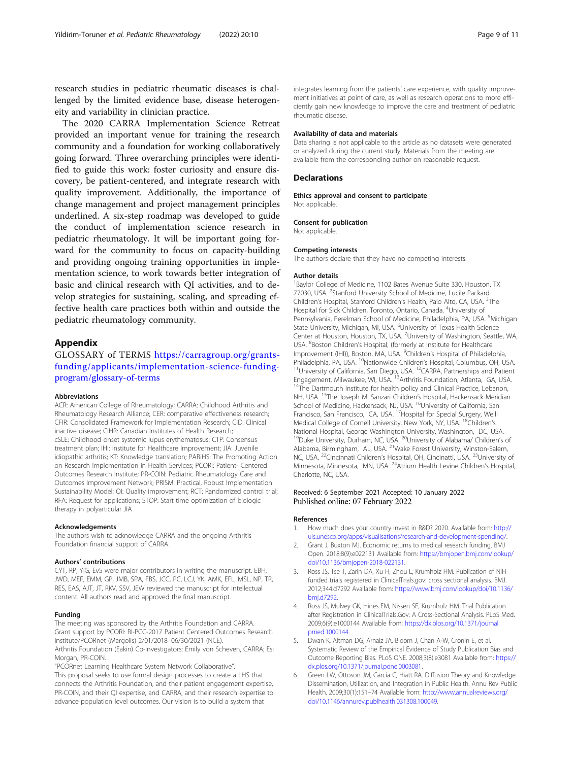<span id="page-8-0"></span>research studies in pediatric rheumatic diseases is challenged by the limited evidence base, disease heterogeneity and variability in clinician practice.

The 2020 CARRA Implementation Science Retreat provided an important venue for training the research community and a foundation for working collaboratively going forward. Three overarching principles were identified to guide this work: foster curiosity and ensure discovery, be patient-centered, and integrate research with quality improvement. Additionally, the importance of change management and project management principles underlined. A six-step roadmap was developed to guide the conduct of implementation science research in pediatric rheumatology. It will be important going forward for the community to focus on capacity-building and providing ongoing training opportunities in implementation science, to work towards better integration of basic and clinical research with QI activities, and to develop strategies for sustaining, scaling, and spreading effective health care practices both within and outside the pediatric rheumatology community.

#### Appendix

GLOSSARY of TERMS [https://carragroup.org/grants](https://carragroup.org/grants-funding/applicants/implementation-science-funding-program/glossary-of-terms)[funding/applicants/implementation-science-funding](https://carragroup.org/grants-funding/applicants/implementation-science-funding-program/glossary-of-terms)[program/glossary-of-terms](https://carragroup.org/grants-funding/applicants/implementation-science-funding-program/glossary-of-terms)

#### Abbreviations

ACR: American College of Rheumatology; CARRA: Childhood Arthritis and Rheumatology Research Alliance; CER: comparative effectiveness research; CFIR: Consolidated Framework for Implementation Research; CID: Clinical inactive disease; CIHR: Canadian Institutes of Health Research; cSLE: Childhood onset systemic lupus erythematosus; CTP: Consensus treatment plan; IHI: Institute for Healthcare Improvement; JIA: Juvenile idiopathic arthritis; KT: Knowledge translation; PARiHS: The Promoting Action on Research Implementation in Health Services; PCORI: Patient- Centered Outcomes Research Institute; PR-COIN: Pediatric Rheumatology Care and Outcomes Improvement Network; PRISM: Practical, Robust Implementation Sustainability Model; QI: Quality improvement; RCT: Randomized control trial; RFA: Request for applications; STOP: Start time optimization of biologic therapy in polyarticular JIA

#### Acknowledgements

The authors wish to acknowledge CARRA and the ongoing Arthritis Foundation financial support of CARRA.

#### Authors' contributions

CYT, RP, YIG, EvS were major contributors in writing the manuscript. EBH, JWD, MEF, EMM, GP, JMB, SPA, FBS, JCC, PC, LCJ, YK, AMK, EFL, MSL, NP, TR, RES, EAS, AJT, JT, RKV, SSV, JEW reviewed the manuscript for intellectual content. All authors read and approved the final manuscript.

# Funding

The meeting was sponsored by the Arthritis Foundation and CARRA. Grant support by PCORI: RI-PCC-2017 Patient Centered Outcomes Research Institute/PCORnet (Margolis) 2/01/2018–06/30/2021 (NCE).

Arthritis Foundation (Eakin) Co-Investigators: Emily von Scheven, CARRA; Esi Morgan, PR-COIN.

"PCORnet Learning Healthcare System Network Collaborative". This proposal seeks to use formal design processes to create a LHS that connects the Arthritis Foundation, and their patient engagement expertise, PR-COIN, and their QI expertise, and CARRA, and their research expertise to advance population level outcomes. Our vision is to build a system that

integrates learning from the patients' care experience, with quality improvement initiatives at point of care, as well as research operations to more efficiently gain new knowledge to improve the care and treatment of pediatric rheumatic disease.

#### Availability of data and materials

Data sharing is not applicable to this article as no datasets were generated or analyzed during the current study. Materials from the meeting are available from the corresponding author on reasonable request.

#### **Declarations**

Ethics approval and consent to participate Not applicable.

Consent for publication

# Not applicable.

#### Competing interests

The authors declare that they have no competing interests.

#### Author details

<sup>1</sup>Baylor College of Medicine, 1102 Bates Avenue Suite 330, Houston, TX 77030, USA. <sup>2</sup>Stanford University School of Medicine, Lucile Packard Children's Hospital, Stanford Children's Health, Palo Alto, CA, USA. <sup>3</sup>The Hospital for Sick Children, Toronto, Ontario, Canada. <sup>4</sup>University of Pennsylvania, Perelman School of Medicine, Philadelphia, PA, USA. <sup>5</sup>Michigan State University, Michigan, MI, USA. <sup>6</sup>University of Texas Health Science Center at Houston, Houston, TX, USA. <sup>7</sup>University of Washington, Seattle, WA, USA. <sup>8</sup> Boston Children's Hospital, (formerly at Institute for Healthcare Improvement (IHI)), Boston, MA, USA. <sup>9</sup>Children's Hospital of Philadelphia Philadelphia, PA, USA. <sup>10</sup>Nationwide Children's Hospital, Columbus, OH, USA. <sup>11</sup>University of California, San Diego, USA. <sup>12</sup>CARRA, Partnerships and Patient Engagement, Milwaukee, WI, USA. <sup>13</sup>Arthritis Foundation, Atla <sup>14</sup>The Dartmouth Institute for health policy and Clinical Practice, Lebanon, NH, USA. <sup>15</sup>The Joseph M. Sanzari Children's Hospital, Hackensack Meridian School of Medicine, Hackensack, NJ, USA. <sup>16</sup>University of California, San Francisco, San Francisco, CA, USA. <sup>17</sup>Hospital for Special Surgery, Weill Medical College of Cornell University, New York, NY, USA. <sup>18</sup>Children's National Hospital, George Washington University, Washington, DC, USA. <sup>19</sup>Duke University, Durham, NC, USA. <sup>20</sup>University of Alabama/ Children's of Alabama, Birmingham, AL, USA. <sup>21</sup>Wake Forest University, Winston-Salem, NC, USA. <sup>22</sup>Cincinnati Children's Hospital, OH, Cincinatti, USA. <sup>23</sup>University of Minnesota, Minnesota, MN, USA. 24Atrium Health Levine Children's Hospital, Charlotte, NC, USA.

#### Received: 6 September 2021 Accepted: 10 January 2022 Published online: 07 February 2022

#### References

- 1. How much does your country invest in R&D? 2020. Available from: [http://](http://uis.unesco.org/apps/visualisations/research-and-development-spending/) [uis.unesco.org/apps/visualisations/research-and-development-spending/.](http://uis.unesco.org/apps/visualisations/research-and-development-spending/)
- 2. Grant J, Buxton MJ. Economic returns to medical research funding. BMJ Open. 2018;8(9):e022131 Available from: [https://bmjopen.bmj.com/lookup/](http://dx.doi.org/10.1136/bmjopen-2018-022131) [doi/10.1136/bmjopen-2018-022131.](http://dx.doi.org/10.1136/bmjopen-2018-022131)
- 3. Ross JS, Tse T, Zarin DA, Xu H, Zhou L, Krumholz HM. Publication of NIH funded trials registered in ClinicalTrials.gov: cross sectional analysis. BMJ. 2012;344:d7292 Available from: [https://www.bmj.com/lookup/doi/10.1136/](http://dx.doi.org/10.1136/bmj.d7292) [bmj.d7292.](http://dx.doi.org/10.1136/bmj.d7292)
- 4. Ross JS, Mulvey GK, Hines EM, Nissen SE, Krumholz HM. Trial Publication after Registration in ClinicalTrials.Gov: A Cross-Sectional Analysis. PLoS Med. 2009;6(9):e1000144 Available from: [https://dx.plos.org/10.1371/journal.](http://dx.doi.org/10.1371/journal.pmed.1000144) [pmed.1000144.](http://dx.doi.org/10.1371/journal.pmed.1000144)
- 5. Dwan K, Altman DG, Arnaiz JA, Bloom J, Chan A-W, Cronin E, et al. Systematic Review of the Empirical Evidence of Study Publication Bias and Outcome Reporting Bias. PLoS ONE. 2008;3(8):e3081 Available from: [https://](http://dx.doi.org/10.1371/journal.pone.0003081) [dx.plos.org/10.1371/journal.pone.0003081.](http://dx.doi.org/10.1371/journal.pone.0003081)
- 6. Green LW, Ottoson JM, García C, Hiatt RA. Diffusion Theory and Knowledge Dissemination, Utilization, and Integration in Public Health. Annu Rev Public Health. 2009;30(1):151–74 Available from: [http://www.annualreviews.org/](http://dx.doi.org/10.1146/annurev.publhealth.031308.100049) [doi/10.1146/annurev.publhealth.031308.100049.](http://dx.doi.org/10.1146/annurev.publhealth.031308.100049)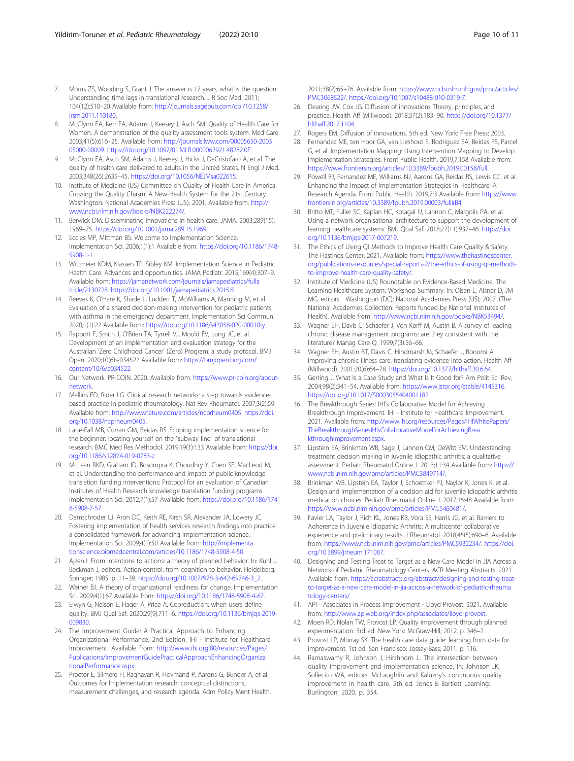- <span id="page-9-0"></span>7. Morris ZS, Wooding S, Grant J. The answer is 17 years, what is the question: Understanding time lags in translational research. J R Soc Med. 2011; 104(12):510–20 Available from: [http://journals.sagepub.com/doi/10.1258/](http://dx.doi.org/10.1258/jrsm.2011.110180) irsm.2011.110180.
- 8. McGlynn EA, Kerr EA, Adams J, Keesey J, Asch SM. Quality of Health Care for Women: A demonstration of the quality assessment tools system. Med Care. 2003;41(5):616–25. Available from: [http://journals.lww.com/00005650-2003](http://journals.lww.com/00005650-200305000-00009) [05000-00009.](http://journals.lww.com/00005650-200305000-00009) <https://doi.org/10.1097/01.MLR.0000062921.48282.0F>.
- 9. McGlynn EA, Asch SM, Adams J, Keesey J, Hicks J, DeCristofaro A, et al. The quality of health care delivered to adults in the United States. N Engl J Med. 2003;348(26):2635–45. <https://doi.org/10.1056/NEJMsa022615>.
- 10. Institute of Medicine (US) Committee on Quality of Health Care in America. Crossing the Quality Chasm: A New Health System for the 21st Century. Washington: National Academies Press (US); 2001. Available from: [http://](http://www.ncbi.nlm.nih.gov/books/NBK222274/) [www.ncbi.nlm.nih.gov/books/NBK222274/](http://www.ncbi.nlm.nih.gov/books/NBK222274/).
- 11. Berwick DM. Disseminating innovations in health care. JAMA. 2003;289(15): 1969–75. <https://doi.org/10.1001/jama.289.15.1969>.
- 12. Eccles MP, Mittman BS. Welcome to Implementation Science. Implementation Sci. 2006;1(1):1 Available from: [https://doi.org/10.1186/1748-](https://doi.org/10.1186/1748-5908-1-1) [5908-1-1](https://doi.org/10.1186/1748-5908-1-1).
- 13. Wittmeier KDM, Klassen TP, Sibley KM. Implementation Science in Pediatric Health Care: Advances and opportunities. JAMA Pediatr. 2015;169(4):307–9. Available from: [https://jamanetwork.com/journals/jamapediatrics/fulla](https://jamanetwork.com/journals/jamapediatrics/fullarticle/2130728) [rticle/2130728.](https://jamanetwork.com/journals/jamapediatrics/fullarticle/2130728) [https://doi.org/10.1001/jamapediatrics.2015.8.](https://doi.org/10.1001/jamapediatrics.2015.8)
- 14. Reeves K, O'Hare K, Shade L, Ludden T, McWilliams A, Manning M, et al. Evaluation of a shared decision-making intervention for pediatric patients with asthma in the emergency department. Implementation Sci Commun. 2020;1(1):22 Available from: <https://doi.org/10.1186/s43058-020-00010-y>.
- 15. Rapport F, Smith J, O'Brien TA, Tyrrell VJ, Mould EV, Long JC, et al. Development of an implementation and evaluation strategy for the Australian 'Zero Childhood Cancer' (Zero) Program: a study protocol. BMJ Open. 2020;10(6):e034522 Available from: [https://bmjopen.bmj.com/](https://bmjopen.bmj.com/content/10/6/e034522) [content/10/6/e034522](https://bmjopen.bmj.com/content/10/6/e034522).
- 16. Our Network. PR-COIN. 2020. Available from: [https://www.pr-coin.org/about](https://www.pr-coin.org/about-network)[network.](https://www.pr-coin.org/about-network)
- 17. Mellins ED, Rider LG. Clinical research networks: a step towards evidencebased practice in pediatric rheumatology. Nat Rev Rheumatol. 2007;3(2):59. Available from: <http://www.nature.com/articles/ncprheum0405>. [https://doi.](https://doi.org/10.1038/ncprheum0405) [org/10.1038/ncprheum0405](https://doi.org/10.1038/ncprheum0405).
- 18. Lane-Fall MB, Curran GM, Beidas RS. Scoping implementation science for the beginner: locating yourself on the "subway line" of translational research. BMC Med Res Methodol. 2019;19(1):133 Available from: [https://doi.](https://doi.org/10.1186/s12874-019-0783-z) [org/10.1186/s12874-019-0783-z.](https://doi.org/10.1186/s12874-019-0783-z)
- 19. McLean RKD, Graham ID, Bosompra K, Choudhry Y, Coen SE, MacLeod M, et al. Understanding the performance and impact of public knowledge translation funding interventions: Protocol for an evaluation of Canadian Institutes of Health Research knowledge translation funding programs. Implementation Sci. 2012;7(1):57 Available from: [https://doi.org/10.1186/174](https://doi.org/10.1186/1748-5908-7-57) [8-5908-7-57](https://doi.org/10.1186/1748-5908-7-57).
- 20. Damschroder LJ, Aron DC, Keith RE, Kirsh SR, Alexander JA, Lowery JC. Fostering implementation of health services research findings into practice: a consolidated framework for advancing implementation science. Implementation Sci. 2009;4(1):50 Available from: [http://implementa](http://dx.doi.org/10.1186/1748-5908-4-50) [tionscience.biomedcentral.com/articles/10.1186/1748-5908-4-50.](http://dx.doi.org/10.1186/1748-5908-4-50)
- 21. Ajzen I. From intentions to actions: a theory of planned behavior. In: Kuhl J, Beckman J, editors. Action-control: from cognition to behavior. Heidelberg: Springer; 1985. p. 11–39. [https://doi.org/10.1007/978-3-642-69746-3\\_2](https://doi.org/10.1007/978-3-642-69746-3_2).
- 22. Weiner BJ. A theory of organizational readiness for change. Implementation Sci. 2009;4(1):67 Available from: [https://doi.org/10.1186/1748-5908-4-67.](https://doi.org/10.1186/1748-5908-4-67)
- 23. Elwyn G, Nelson E, Hager A, Price A. Coproduction: when users define quality. BMJ Qual Saf. 2020;29(9):711–6. [https://doi.org/10.1136/bmjqs-2019-](https://doi.org/10.1136/bmjqs-2019-009830) [009830](https://doi.org/10.1136/bmjqs-2019-009830).
- 24. The Improvement Guide: A Practical Approach to Enhancing Organizational Performance. 2nd Edition. IHI - Institute for Healthcare Improvement. Available from: [http://www.ihi.org:80/resources/Pages/](http://www.ihi.org/resources/Pages/Publications/ImprovementGuidePracticalApproachEnhancingOrganizationalPerformance.aspx) [Publications/ImprovementGuidePracticalApproachEnhancingOrganiza](http://www.ihi.org/resources/Pages/Publications/ImprovementGuidePracticalApproachEnhancingOrganizationalPerformance.aspx) [tionalPerformance.aspx](http://www.ihi.org/resources/Pages/Publications/ImprovementGuidePracticalApproachEnhancingOrganizationalPerformance.aspx).
- 25. Proctor E, Silmere H, Raghavan R, Hovmand P, Aarons G, Bunger A, et al. Outcomes for Implementation research: conceptual distinctions, measurement challenges, and research agenda. Adm Policy Ment Health.

2011;38(2):65–76. Available from: [https://www.ncbi.nlm.nih.gov/pmc/articles/](https://www.ncbi.nlm.nih.gov/pmc/articles/PMC3068522/) [PMC3068522/](https://www.ncbi.nlm.nih.gov/pmc/articles/PMC3068522/). [https://doi.org/10.1007/s10488-010-0319-7.](https://doi.org/10.1007/s10488-010-0319-7)

- 26. Dearing JW, Cox JG. Diffusion of innovations Theory, principles, and practice. Health Aff (Millwood). 2018;37(2):183–90. [https://doi.org/10.1377/](https://doi.org/10.1377/hlthaff.2017.1104) [hlthaff.2017.1104](https://doi.org/10.1377/hlthaff.2017.1104).
- 27. Rogers EM. Diffusion of innovations. 5th ed. New York: Free Press; 2003.
- 28. Fernandez ME, ten Hoor GA, van Lieshout S, Rodriguez SA, Beidas RS, Parcel G, et al. Implementation Mapping: Using Intervention Mapping to Develop Implementation Strategies. Front Public Health. 2019;7:158 Available from: [https://www.frontiersin.org/articles/10.3389/fpubh.2019.00158/full.](http://dx.doi.org/10.3389/fpubh.2019.00158/full)
- 29. Powell BJ, Fernandez ME, Williams NJ, Aarons GA, Beidas RS, Lewis CC, et al. Enhancing the Impact of Implementation Strategies in Healthcare: A Research Agenda. Front Public Health. 2019;7:3 Available from: [https://www.](http://dx.doi.org/10.3389/fpubh.2019.00003/full#B4) [frontiersin.org/articles/10.3389/fpubh.2019.00003/full#B4.](http://dx.doi.org/10.3389/fpubh.2019.00003/full#B4)
- 30. Britto MT, Fuller SC, Kaplan HC, Kotagal U, Lannon C, Margolis PA, et al. Using a network organisational architecture to support the development of learning healthcare systems. BMJ Qual Saf. 2018;27(11):937–46. [https://doi.](https://doi.org/10.1136/bmjqs-2017-007219) [org/10.1136/bmjqs-2017-007219.](https://doi.org/10.1136/bmjqs-2017-007219)
- 31. The Ethics of Using QI Methods to Improve Health Care Quality & Safety. The Hastings Center. 2021. Available from: [https://www.thehastingscenter.](https://www.thehastingscenter.org/publications-resources/special-reports-2/the-ethics-of-using-qi-methods-to-improve-health-care-quality-safety/) [org/publications-resources/special-reports-2/the-ethics-of-using-qi-methods](https://www.thehastingscenter.org/publications-resources/special-reports-2/the-ethics-of-using-qi-methods-to-improve-health-care-quality-safety/)[to-improve-health-care-quality-safety/](https://www.thehastingscenter.org/publications-resources/special-reports-2/the-ethics-of-using-qi-methods-to-improve-health-care-quality-safety/).
- 32. Institute of Medicine (US) Roundtable on Evidence-Based Medicine. The Learning Healthcare System: Workshop Summary. In: Olsen L, Aisner D, JM MG, editors. . Washington (DC): National Academies Press (US); 2007. (The National Academies Collection: Reports funded by National Institutes of Health). Available from: <http://www.ncbi.nlm.nih.gov/books/NBK53494/>.
- 33. Wagner EH, Davis C, Schaefer J, Von Korff M, Austin B. A survey of leading chronic disease management programs: are they consistent with the literature? Manag Care Q. 1999;7(3):56–66.
- 34. Wagner EH, Austin BT, Davis C, Hindmarsh M, Schaefer J, Bonomi A. Improving chronic illness care: translating evidence into action. Health Aff (Millwood). 2001;20(6):64–78. [https://doi.org/10.1377/hlthaff.20.6.64.](https://doi.org/10.1377/hlthaff.20.6.64)
- 35. Gerring J. What Is a Case Study and What Is It Good for? Am Polit Sci Rev. 2004;98(2):341–54. Available from: [https://www.jstor.org/stable/4145316.](https://www.jstor.org/stable/4145316) [https://doi.org/10.1017/S0003055404001182.](https://doi.org/10.1017/S0003055404001182)
- 36. The Breakthrough Series: IHI's Collaborative Model for Achieving Breakthrough Improvement. IHI - Institute for Healthcare Improvement. 2021. Available from: [http://www.ihi.org/resources/Pages/IHIWhitePapers/](http://www.ihi.org/resources/Pages/IHIWhitePapers/TheBreakthroughSeriesIHIsCollaborativeModelforAchievingBreakthroughImprovement.aspx) [TheBreakthroughSeriesIHIsCollaborativeModelforAchievingBrea](http://www.ihi.org/resources/Pages/IHIWhitePapers/TheBreakthroughSeriesIHIsCollaborativeModelforAchievingBreakthroughImprovement.aspx) [kthroughImprovement.aspx](http://www.ihi.org/resources/Pages/IHIWhitePapers/TheBreakthroughSeriesIHIsCollaborativeModelforAchievingBreakthroughImprovement.aspx).
- 37. Lipstein EA, Brinkman WB, Sage J, Lannon CM, DeWitt EM. Understanding treatment decision making in juvenile idiopathic arthritis: a qualitative assessment. Pediatr Rheumatol Online J. 2013;11:34 Available from: [https://](https://www.ncbi.nlm.nih.gov/pmc/articles/PMC3849714/) [www.ncbi.nlm.nih.gov/pmc/articles/PMC3849714/.](https://www.ncbi.nlm.nih.gov/pmc/articles/PMC3849714/)
- 38. Brinkman WB, Lipstein EA, Taylor J, Schoettker PJ, Naylor K, Jones K, et al. Design and implementation of a decision aid for juvenile idiopathic arthritis medication choices. Pediatr Rheumatol Online J. 2017;15:48 Available from: [https://www.ncbi.nlm.nih.gov/pmc/articles/PMC5460481/.](https://www.ncbi.nlm.nih.gov/pmc/articles/PMC5460481/)
- 39. Favier LA, Taylor J, Rich KL, Jones KB, Vora SS, Harris JG, et al. Barriers to Adherence in Juvenile Idiopathic Arthritis: A multicenter collaborative experience and preliminary results. J Rheumatol. 2018;45(5):690–6. Available from: <https://www.ncbi.nlm.nih.gov/pmc/articles/PMC5932234/>. [https://doi.](https://doi.org/10.3899/jrheum.171087) [org/10.3899/jrheum.171087.](https://doi.org/10.3899/jrheum.171087)
- 40. Designing and Testing Treat to Target as a New Care Model in JIA Across a Network of Pediatric Rheumatology Centers. ACR Meeting Abstracts. 2021. Available from: [https://acrabstracts.org/abstract/designing-and-testing-treat](https://acrabstracts.org/abstract/designing-and-testing-treat-to-target-as-a-new-care-model-in-jia-across-a-network-of-pediatric-rheumatology-centers/)[to-target-as-a-new-care-model-in-jia-across-a-network-of-pediatric-rheuma](https://acrabstracts.org/abstract/designing-and-testing-treat-to-target-as-a-new-care-model-in-jia-across-a-network-of-pediatric-rheumatology-centers/) [tology-centers/.](https://acrabstracts.org/abstract/designing-and-testing-treat-to-target-as-a-new-care-model-in-jia-across-a-network-of-pediatric-rheumatology-centers/)
- 41. API Associates in Process Improvement Lloyd Provost. 2021. Available from: [http://www.apiweb.org/index.php/associates/lloyd-provost.](http://www.apiweb.org/index.php/associates/lloyd-provost)
- 42. Moen RD, Nolan TW, Provost LP. Quality improvement through planned experimentation. 3rd ed. New York: McGraw-Hill; 2012. p. 346–7.
- 43. Provost LP, Murray SK. The health care data guide: learning from data for improvement. 1st ed. San Francisco: Jossey-Bass; 2011. p. 116.
- 44. Ramaswamy R, Johnson J, Hirshhorn L. The intersection between quality improvement and Implementation science. In: Johnson JK, Sollecito WA, editors. McLaughlin and Kaluzny's continuous quality improvement in health care. 5th ed. Jones & Bartlett Learning: Burlington; 2020. p. 354.